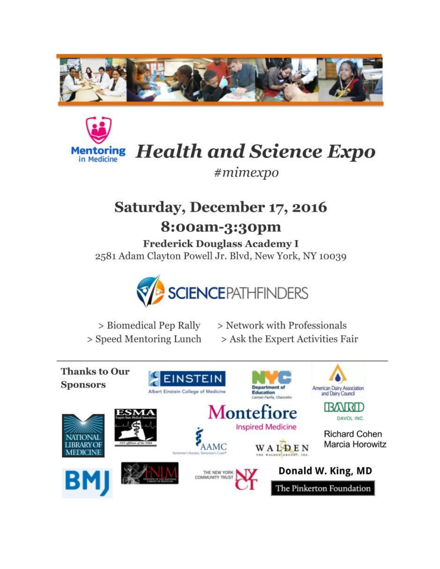



**Health and Science Expo** 

 $#minexpo$ 

# Saturday, December 17, 2016

## 8:00am-3:30pm

**Frederick Douglass Academy I** 2581 Adam Clayton Powell Jr. Blvd, New York, NY 10039



> Biomedical Pep Rally > Network with Professionals > Speed Mentoring Lunch > Ask the Expert Activities Fair

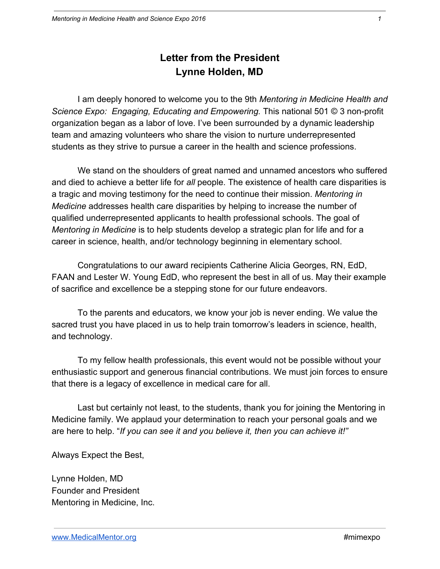## **Letter from the President Lynne Holden, MD**

I am deeply honored to welcome you to the 9th *Mentoring in Medicine Health and Science Expo: Engaging, Educating and Empowering.* This national 501 © 3 non-profit organization began as a labor of love. I've been surrounded by a dynamic leadership team and amazing volunteers who share the vision to nurture underrepresented students as they strive to pursue a career in the health and science professions.

We stand on the shoulders of great named and unnamed ancestors who suffered and died to achieve a better life for *all* people. The existence of health care disparities is a tragic and moving testimony for the need to continue their mission. *Mentoring in Medicine* addresses health care disparities by helping to increase the number of qualified underrepresented applicants to health professional schools. The goal of *Mentoring in Medicine* is to help students develop a strategic plan for life and for a career in science, health, and/or technology beginning in elementary school.

Congratulations to our award recipients Catherine Alicia Georges, RN, EdD, FAAN and Lester W. Young EdD, who represent the best in all of us. May their example of sacrifice and excellence be a stepping stone for our future endeavors.

To the parents and educators, we know your job is never ending. We value the sacred trust you have placed in us to help train tomorrow's leaders in science, health, and technology.

To my fellow health professionals, this event would not be possible without your enthusiastic support and generous financial contributions. We must join forces to ensure that there is a legacy of excellence in medical care for all.

Last but certainly not least, to the students, thank you for joining the Mentoring in Medicine family. We applaud your determination to reach your personal goals and we are here to help. "*If you can see it and you believe it, then you can achieve it!"*

Always Expect the Best,

Lynne Holden, MD Founder and President Mentoring in Medicine, Inc.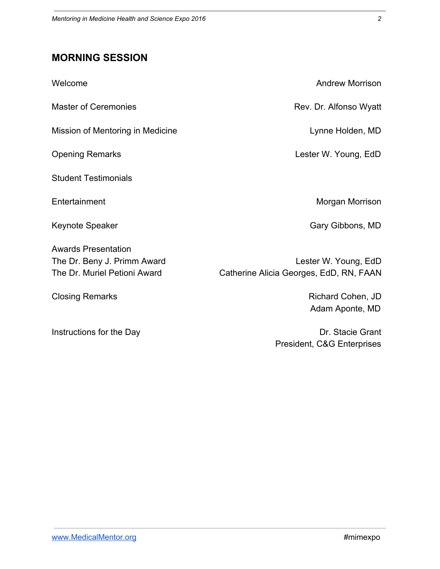## **MORNING SESSION**

| Welcome                                                                                   | <b>Andrew Morrison</b>                                          |
|-------------------------------------------------------------------------------------------|-----------------------------------------------------------------|
| <b>Master of Ceremonies</b>                                                               | Rev. Dr. Alfonso Wyatt                                          |
| Mission of Mentoring in Medicine                                                          | Lynne Holden, MD                                                |
| <b>Opening Remarks</b>                                                                    | Lester W. Young, EdD                                            |
| <b>Student Testimonials</b>                                                               |                                                                 |
| Entertainment                                                                             | Morgan Morrison                                                 |
| Keynote Speaker                                                                           | Gary Gibbons, MD                                                |
| <b>Awards Presentation</b><br>The Dr. Beny J. Primm Award<br>The Dr. Muriel Petioni Award | Lester W. Young, EdD<br>Catherine Alicia Georges, EdD, RN, FAAN |
| <b>Closing Remarks</b>                                                                    | Richard Cohen, JD<br>Adam Aponte, MD                            |
| Instructions for the Day                                                                  | Dr. Stacie Grant<br>President, C&G Enterprises                  |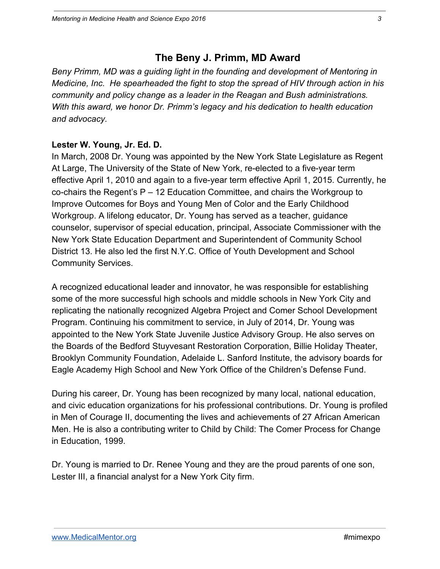## **The Beny J. Primm, MD Award**

*Beny Primm, MD was a guiding light in the founding and development of Mentoring in Medicine, Inc. He spearheaded the fight to stop the spread of HIV through action in his community and policy change as a leader in the Reagan and Bush administrations. With this award, we honor Dr. Primm's legacy and his dedication to health education and advocacy.*

#### **Lester W. Young, Jr. Ed. D.**

In March, 2008 Dr. Young was appointed by the New York State Legislature as Regent At Large, The University of the State of New York, re-elected to a five-year term effective April 1, 2010 and again to a five-year term effective April 1, 2015. Currently, he co-chairs the Regent's P – 12 Education Committee, and chairs the Workgroup to Improve Outcomes for Boys and Young Men of Color and the Early Childhood Workgroup. A lifelong educator, Dr. Young has served as a teacher, guidance counselor, supervisor of special education, principal, Associate Commissioner with the New York State Education Department and Superintendent of Community School District 13. He also led the first N.Y.C. Office of Youth Development and School Community Services.

A recognized educational leader and innovator, he was responsible for establishing some of the more successful high schools and middle schools in New York City and replicating the nationally recognized Algebra Project and Comer School Development Program. Continuing his commitment to service, in July of 2014, Dr. Young was appointed to the New York State Juvenile Justice Advisory Group. He also serves on the Boards of the Bedford Stuyvesant Restoration Corporation, Billie Holiday Theater, Brooklyn Community Foundation, Adelaide L. Sanford Institute, the advisory boards for Eagle Academy High School and New York Office of the Children's Defense Fund.

During his career, Dr. Young has been recognized by many local, national education, and civic education organizations for his professional contributions. Dr. Young is profiled in Men of Courage II, documenting the lives and achievements of 27 African American Men. He is also a contributing writer to Child by Child: The Comer Process for Change in Education, 1999.

Dr. Young is married to Dr. Renee Young and they are the proud parents of one son, Lester III, a financial analyst for a New York City firm.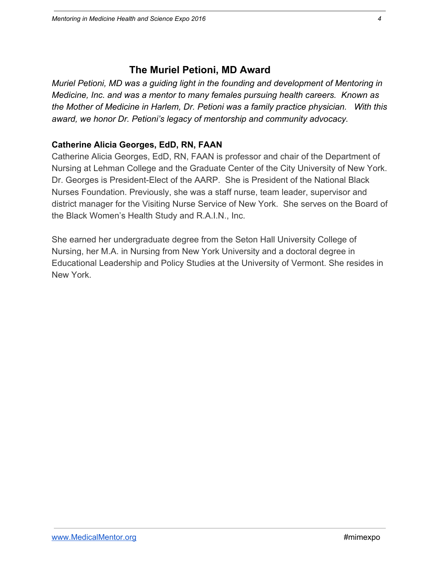## **The Muriel Petioni, MD Award**

*Muriel Petioni, MD was a guiding light in the founding and development of Mentoring in Medicine, Inc. and was a mentor to many females pursuing health careers. Known as the Mother of Medicine in Harlem, Dr. Petioni was a family practice physician. With this award, we honor Dr. Petioni's legacy of mentorship and community advocacy.*

#### **Catherine Alicia Georges, EdD, RN, FAAN**

Catherine Alicia Georges, EdD, RN, FAAN is professor and chair of the Department of Nursing at Lehman College and the Graduate Center of the City University of New York. Dr. Georges is President-Elect of the AARP. She is President of the National Black Nurses Foundation. Previously, she was a staff nurse, team leader, supervisor and district manager for the Visiting Nurse Service of New York. She serves on the Board of the Black Women's Health Study and R.A.I.N., Inc.

She earned her undergraduate degree from the Seton Hall University College of Nursing, her M.A. in Nursing from New York University and a doctoral degree in Educational Leadership and Policy Studies at the University of Vermont. She resides in New York.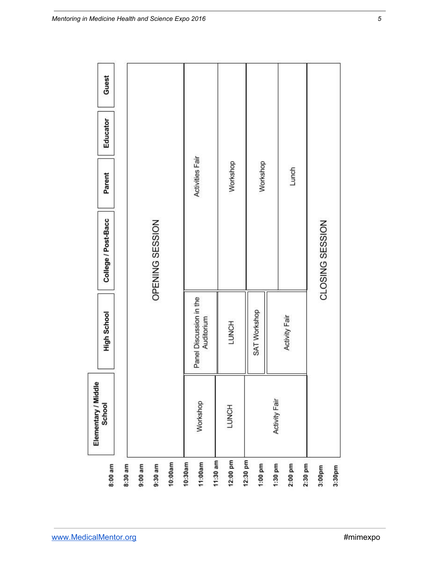| Elementary / Middle<br>School |                 | Workshop                              | LUNCH        |              | <b>Activity Fair</b> |               |                 |
|-------------------------------|-----------------|---------------------------------------|--------------|--------------|----------------------|---------------|-----------------|
| High School                   |                 | Panel Discussion in the<br>Auditorium | <b>LUNCH</b> | SAT Workshop |                      | Activity Fair |                 |
| College / Post-Bacc           | OPENING SESSION |                                       |              |              |                      |               | CLOSING SESSION |
| Parent                        |                 | Activities Fair                       | Workshop     | Workshop     |                      | Lunch         |                 |
| Educator                      |                 |                                       |              |              |                      |               |                 |
| Guest                         |                 |                                       |              |              |                      |               |                 |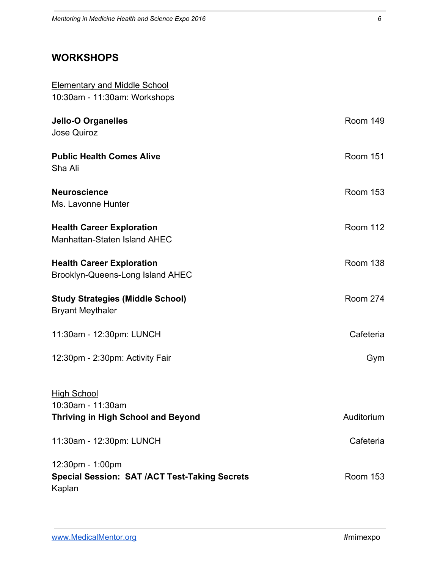## **WORKSHOPS**

| <b>Elementary and Middle School</b>                                  |                 |
|----------------------------------------------------------------------|-----------------|
| 10:30am - 11:30am: Workshops                                         |                 |
| <b>Jello-O Organelles</b>                                            | <b>Room 149</b> |
| <b>Jose Quiroz</b>                                                   |                 |
| <b>Public Health Comes Alive</b><br>Sha Ali                          | <b>Room 151</b> |
| <b>Neuroscience</b><br>Ms. Lavonne Hunter                            | <b>Room 153</b> |
| <b>Health Career Exploration</b><br>Manhattan-Staten Island AHEC     | <b>Room 112</b> |
| <b>Health Career Exploration</b><br>Brooklyn-Queens-Long Island AHEC | <b>Room 138</b> |
| <b>Study Strategies (Middle School)</b><br><b>Bryant Meythaler</b>   | <b>Room 274</b> |
| 11:30am - 12:30pm: LUNCH                                             | Cafeteria       |
| 12:30pm - 2:30pm: Activity Fair                                      | Gym             |
| <b>High School</b>                                                   |                 |
| 10:30am - 11:30am                                                    |                 |
| Thriving in High School and Beyond                                   | Auditorium      |
| 11:30am - 12:30pm: LUNCH                                             | Cafeteria       |
| 12:30pm - 1:00pm                                                     |                 |
| <b>Special Session: SAT /ACT Test-Taking Secrets</b><br>Kaplan       | <b>Room 153</b> |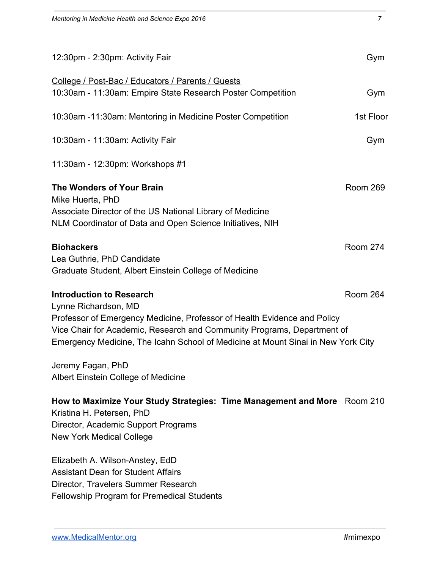| 12:30pm - 2:30pm: Activity Fair                                                                                                                                                                                                                                                                                         | Gym             |
|-------------------------------------------------------------------------------------------------------------------------------------------------------------------------------------------------------------------------------------------------------------------------------------------------------------------------|-----------------|
| College / Post-Bac / Educators / Parents / Guests<br>10:30am - 11:30am: Empire State Research Poster Competition                                                                                                                                                                                                        | Gym             |
| 10:30am -11:30am: Mentoring in Medicine Poster Competition                                                                                                                                                                                                                                                              | 1st Floor       |
| 10:30am - 11:30am: Activity Fair                                                                                                                                                                                                                                                                                        | Gym             |
| 11:30am - 12:30pm: Workshops #1                                                                                                                                                                                                                                                                                         |                 |
| <b>The Wonders of Your Brain</b><br>Mike Huerta, PhD<br>Associate Director of the US National Library of Medicine<br>NLM Coordinator of Data and Open Science Initiatives, NIH                                                                                                                                          | Room 269        |
| <b>Biohackers</b><br>Lea Guthrie, PhD Candidate<br>Graduate Student, Albert Einstein College of Medicine                                                                                                                                                                                                                | <b>Room 274</b> |
| <b>Introduction to Research</b><br>Lynne Richardson, MD<br>Professor of Emergency Medicine, Professor of Health Evidence and Policy<br>Vice Chair for Academic, Research and Community Programs, Department of<br>Emergency Medicine, The Icahn School of Medicine at Mount Sinai in New York City<br>Jeremy Fagan, PhD | Room 264        |
| Albert Einstein College of Medicine                                                                                                                                                                                                                                                                                     |                 |
| How to Maximize Your Study Strategies: Time Management and More Room 210<br>Kristina H. Petersen, PhD<br>Director, Academic Support Programs<br><b>New York Medical College</b>                                                                                                                                         |                 |
| Elizabeth A. Wilson-Anstey, EdD<br><b>Assistant Dean for Student Affairs</b><br>Director, Travelers Summer Research                                                                                                                                                                                                     |                 |

Fellowship Program for Premedical Students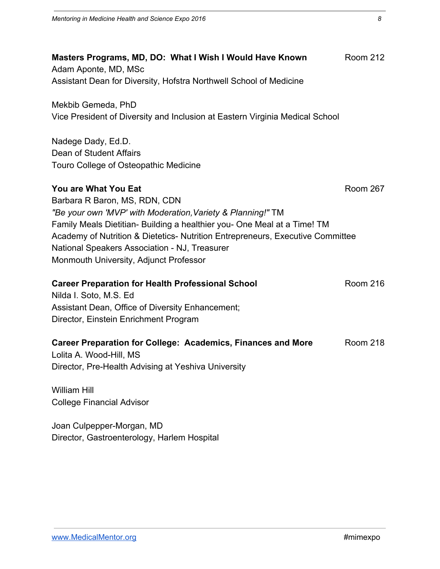| Masters Programs, MD, DO: What I Wish I Would Have Known<br>Adam Aponte, MD, MSc                                                                                                                        | <b>Room 212</b> |
|---------------------------------------------------------------------------------------------------------------------------------------------------------------------------------------------------------|-----------------|
| Assistant Dean for Diversity, Hofstra Northwell School of Medicine                                                                                                                                      |                 |
| Mekbib Gemeda, PhD<br>Vice President of Diversity and Inclusion at Eastern Virginia Medical School                                                                                                      |                 |
| Nadege Dady, Ed.D.<br>Dean of Student Affairs<br>Touro College of Osteopathic Medicine                                                                                                                  |                 |
| <b>You are What You Eat</b><br>Barbara R Baron, MS, RDN, CDN<br>"Be your own 'MVP' with Moderation, Variety & Planning!" TM<br>Family Meals Dietitian- Building a healthier you- One Meal at a Time! TM | <b>Room 267</b> |
| Academy of Nutrition & Dietetics- Nutrition Entrepreneurs, Executive Committee<br>National Speakers Association - NJ, Treasurer<br>Monmouth University, Adjunct Professor                               |                 |
| <b>Career Preparation for Health Professional School</b><br>Nilda I. Soto, M.S. Ed<br>Assistant Dean, Office of Diversity Enhancement;<br>Director, Einstein Enrichment Program                         | <b>Room 216</b> |
| <b>Career Preparation for College: Academics, Finances and More</b><br>Lolita A. Wood-Hill, MS<br>Director, Pre-Health Advising at Yeshiva University                                                   | <b>Room 218</b> |
| <b>William Hill</b><br><b>College Financial Advisor</b>                                                                                                                                                 |                 |
| Joan Culpepper-Morgan, MD<br>Director, Gastroenterology, Harlem Hospital                                                                                                                                |                 |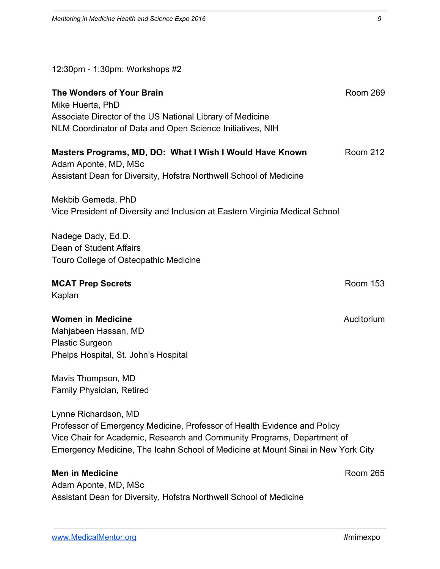12:30pm - 1:30pm: Workshops #2

| The Wonders of Your Brain<br>Mike Huerta, PhD<br>Associate Director of the US National Library of Medicine<br>NLM Coordinator of Data and Open Science Initiatives, NIH                                                                                         | <b>Room 269</b> |  |
|-----------------------------------------------------------------------------------------------------------------------------------------------------------------------------------------------------------------------------------------------------------------|-----------------|--|
| Masters Programs, MD, DO: What I Wish I Would Have Known<br>Adam Aponte, MD, MSc<br>Assistant Dean for Diversity, Hofstra Northwell School of Medicine                                                                                                          | <b>Room 212</b> |  |
| Mekbib Gemeda, PhD<br>Vice President of Diversity and Inclusion at Eastern Virginia Medical School                                                                                                                                                              |                 |  |
| Nadege Dady, Ed.D.<br>Dean of Student Affairs<br>Touro College of Osteopathic Medicine                                                                                                                                                                          |                 |  |
| <b>MCAT Prep Secrets</b><br>Kaplan                                                                                                                                                                                                                              | <b>Room 153</b> |  |
| <b>Women in Medicine</b><br>Mahjabeen Hassan, MD<br><b>Plastic Surgeon</b><br>Phelps Hospital, St. John's Hospital                                                                                                                                              | Auditorium      |  |
| Mavis Thompson, MD<br><b>Family Physician, Retired</b>                                                                                                                                                                                                          |                 |  |
| Lynne Richardson, MD<br>Professor of Emergency Medicine, Professor of Health Evidence and Policy<br>Vice Chair for Academic, Research and Community Programs, Department of<br>Emergency Medicine, The Icahn School of Medicine at Mount Sinai in New York City |                 |  |
| <b>Men in Medicine</b><br>Adam Aponte, MD, MSc<br>Assistant Dean for Diversity, Hofstra Northwell School of Medicine                                                                                                                                            | <b>Room 265</b> |  |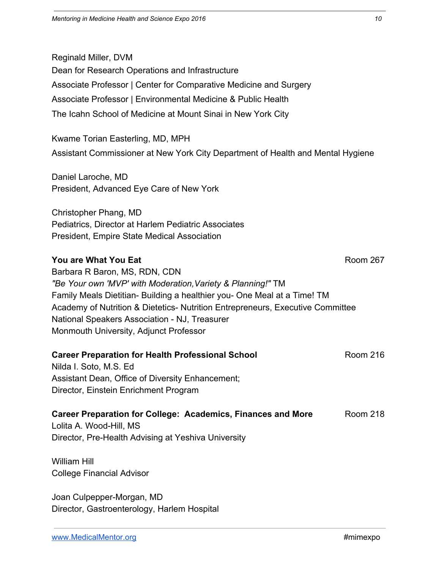Reginald Miller, DVM Dean for Research Operations and Infrastructure Associate Professor | Center for Comparative Medicine and Surgery Associate Professor | Environmental Medicine & Public Health The Icahn School of Medicine at Mount Sinai in New York City

Kwame Torian Easterling, MD, MPH Assistant Commissioner at New York City Department of Health and Mental Hygiene

Daniel Laroche, MD President, Advanced Eye Care of New York

Christopher Phang, MD Pediatrics, Director at Harlem Pediatric Associates President, Empire State Medical Association

#### **You are What You Eat** Room 267

Barbara R Baron, MS, RDN, CDN *"Be Your own 'MVP' with Moderation,Variety & Planning!"* TM Family Meals Dietitian- Building a healthier you- One Meal at a Time! TM Academy of Nutrition & Dietetics- Nutrition Entrepreneurs, Executive Committee National Speakers Association - NJ, Treasurer Monmouth University, Adjunct Professor

## **Career Preparation for Health Professional School Room 216** Room 216

Nilda I. Soto, M.S. Ed Assistant Dean, Office of Diversity Enhancement; Director, Einstein Enrichment Program

#### **Career Preparation for College: Academics, Finances and More** Room 218 Lolita A. Wood-Hill, MS Director, Pre-Health Advising at Yeshiva University

William Hill College Financial Advisor

Joan Culpepper-Morgan, MD Director, Gastroenterology, Harlem Hospital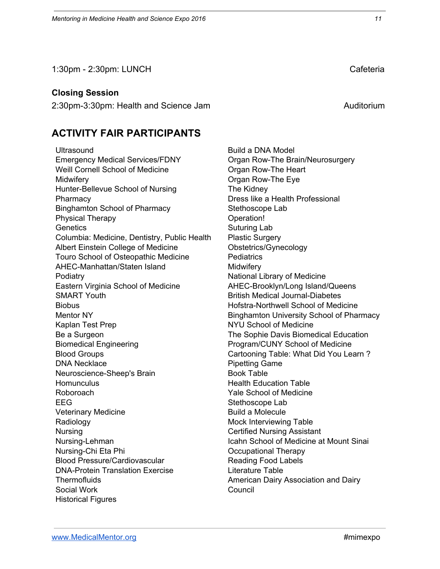1:30pm - 2:30pm: LUNCH Cafeteria

#### **Closing Session**

2:30pm-3:30pm: Health and Science Jam Auditorium Auditorium

### **ACTIVITY FAIR PARTICIPANTS**

**Ultrasound** Emergency Medical Services/FDNY Weill Cornell School of Medicine **Midwifery** Hunter-Bellevue School of Nursing **Pharmacy** Binghamton School of Pharmacy Physical Therapy **Genetics** Columbia: Medicine, Dentistry, Public Health Albert Einstein College of Medicine Touro School of Osteopathic Medicine AHEC-Manhattan/Staten Island **Podiatry** Eastern Virginia School of Medicine SMART Youth **Biobus** Mentor NY Kaplan Test Prep Be a Surgeon Biomedical Engineering Blood Groups DNA Necklace Neuroscience-Sheep's Brain **Homunculus** Roboroach EEG Veterinary Medicine Radiology Nursing Nursing-Lehman Nursing-Chi Eta Phi Blood Pressure/Cardiovascular DNA-Protein Translation Exercise **Thermofluids** Social Work Historical Figures

Build a DNA Model Organ Row-The Brain/Neurosurgery Organ Row-The Heart Organ Row-The Eye The Kidney Dress like a Health Professional Stethoscope Lab Operation! Suturing Lab Plastic Surgery Obstetrics/Gynecology **Pediatrics Midwifery** National Library of Medicine AHEC-Brooklyn/Long Island/Queens British Medical Journal-Diabetes Hofstra-Northwell School of Medicine Binghamton University School of Pharmacy NYU School of Medicine The Sophie Davis Biomedical Education Program/CUNY School of Medicine Cartooning Table: What Did You Learn ? Pipetting Game Book Table Health Education Table Yale School of Medicine Stethoscope Lab Build a Molecule Mock Interviewing Table Certified Nursing Assistant Icahn School of Medicine at Mount Sinai Occupational Therapy Reading Food Labels Literature Table American Dairy Association and Dairy Council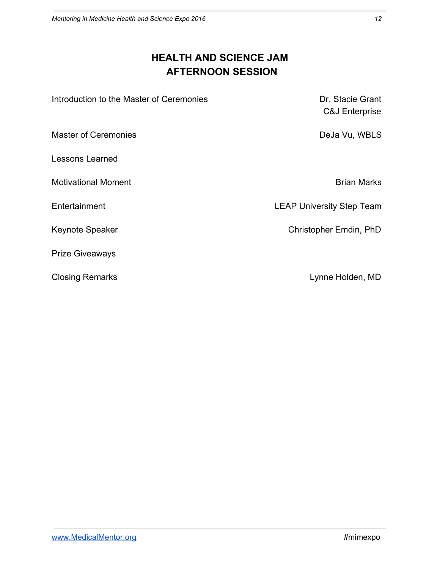## **HEALTH AND SCIENCE JAM AFTERNOON SESSION**

| Introduction to the Master of Ceremonies | Dr. Stacie Grant<br>C&J Enterprise |
|------------------------------------------|------------------------------------|
| <b>Master of Ceremonies</b>              | DeJa Vu, WBLS                      |
| Lessons Learned                          |                                    |
| <b>Motivational Moment</b>               | <b>Brian Marks</b>                 |
| Entertainment                            | <b>LEAP University Step Team</b>   |
| <b>Keynote Speaker</b>                   | Christopher Emdin, PhD             |
| <b>Prize Giveaways</b>                   |                                    |
| <b>Closing Remarks</b>                   | Lynne Holden, MD                   |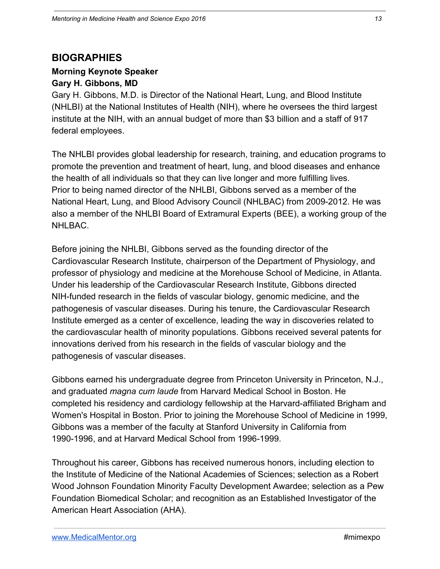## **BIOGRAPHIES**

## **Morning Keynote Speaker**

## **Gary H. Gibbons, MD**

Gary H. Gibbons, M.D. is Director of the National Heart, Lung, and Blood Institute (NHLBI) at the National Institutes of Health (NIH), where he oversees the third largest institute at the NIH, with an annual budget of more than \$3 billion and a staff of 917 federal employees.

The NHLBI provides global leadership for research, training, and education programs to promote the prevention and treatment of heart, lung, and blood diseases and enhance the health of all individuals so that they can live longer and more fulfilling lives. Prior to being named director of the NHLBI, Gibbons served as a member of the National Heart, Lung, and Blood Advisory Council (NHLBAC) from 2009-2012. He was also a member of the NHLBI Board of Extramural Experts (BEE), a working group of the NHLBAC.

Before joining the NHLBI, Gibbons served as the founding director of the Cardiovascular Research Institute, chairperson of the Department of Physiology, and professor of physiology and medicine at the Morehouse School of Medicine, in Atlanta. Under his leadership of the Cardiovascular Research Institute, Gibbons directed NIH-funded research in the fields of vascular biology, genomic medicine, and the pathogenesis of vascular diseases. During his tenure, the Cardiovascular Research Institute emerged as a center of excellence, leading the way in discoveries related to the cardiovascular health of minority populations. Gibbons received several patents for innovations derived from his research in the fields of vascular biology and the pathogenesis of vascular diseases.

Gibbons earned his undergraduate degree from Princeton University in Princeton, N.J., and graduated *magna cum laude* from Harvard Medical School in Boston. He completed his residency and cardiology fellowship at the Harvard-affiliated Brigham and Women's Hospital in Boston. Prior to joining the Morehouse School of Medicine in 1999, Gibbons was a member of the faculty at Stanford University in California from 1990-1996, and at Harvard Medical School from 1996-1999.

Throughout his career, Gibbons has received numerous honors, including election to the Institute of Medicine of the National Academies of Sciences; selection as a Robert Wood Johnson Foundation Minority Faculty Development Awardee; selection as a Pew Foundation Biomedical Scholar; and recognition as an Established Investigator of the American Heart Association (AHA).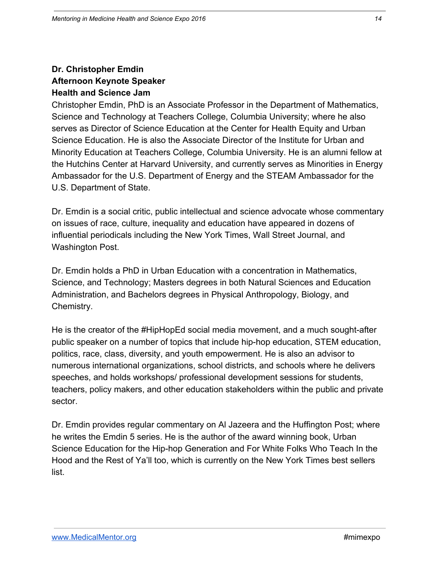#### **Dr. Christopher Emdin Afternoon Keynote Speaker Health and Science Jam**

Christopher Emdin, PhD is an Associate Professor in the Department of Mathematics, Science and Technology at Teachers College, Columbia University; where he also serves as Director of Science Education at the Center for Health Equity and Urban Science Education. He is also the Associate Director of the Institute for Urban and Minority Education at Teachers College, Columbia University. He is an alumni fellow at the Hutchins Center at Harvard University, and currently serves as Minorities in Energy Ambassador for the U.S. Department of Energy and the STEAM Ambassador for the U.S. Department of State.

Dr. Emdin is a social critic, public intellectual and science advocate whose commentary on issues of race, culture, inequality and education have appeared in dozens of influential periodicals including the New York Times, Wall Street Journal, and Washington Post.

Dr. Emdin holds a PhD in Urban Education with a concentration in Mathematics, Science, and Technology; Masters degrees in both Natural Sciences and Education Administration, and Bachelors degrees in Physical Anthropology, Biology, and Chemistry.

He is the creator of the #HipHopEd social media movement, and a much sought-after public speaker on a number of topics that include hip-hop education, STEM education, politics, race, class, diversity, and youth empowerment. He is also an advisor to numerous international organizations, school districts, and schools where he delivers speeches, and holds workshops/ professional development sessions for students, teachers, policy makers, and other education stakeholders within the public and private sector.

Dr. Emdin provides regular commentary on Al Jazeera and the Huffington Post; where he writes the Emdin 5 series. He is the author of the award winning book, Urban Science Education for the Hip-hop Generation and For White Folks Who Teach In the Hood and the Rest of Ya'll too, which is currently on the New York Times best sellers list.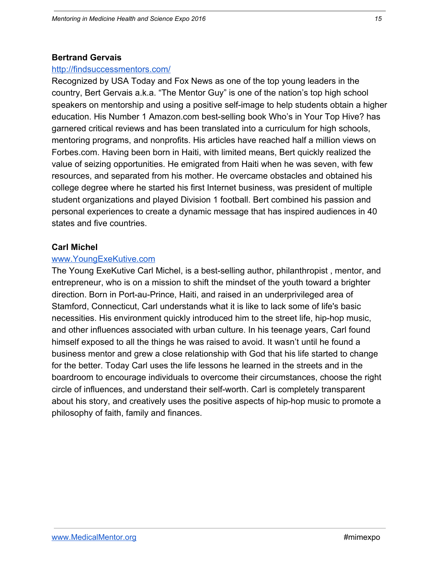#### **Bertrand Gervais**

#### <http://findsuccessmentors.com/>

Recognized by USA Today and Fox News as one of the top young leaders in the country, Bert Gervais a.k.a. "The Mentor Guy" is one of the nation's top high school speakers on mentorship and using a positive self-image to help students obtain a higher education. His Number 1 Amazon.com best-selling book Who's in Your Top Hive? has garnered critical reviews and has been translated into a curriculum for high schools, mentoring programs, and nonprofits. His articles have reached half a million views on Forbes.com. Having been born in Haiti, with limited means, Bert quickly realized the value of seizing opportunities. He emigrated from Haiti when he was seven, with few resources, and separated from his mother. He overcame obstacles and obtained his college degree where he started his first Internet business, was president of multiple student organizations and played Division 1 football. Bert combined his passion and personal experiences to create a dynamic message that has inspired audiences in 40 states and five countries.

#### **Carl Michel**

#### [www.YoungExeKutive.com](http://www.youngexekutive.com/)

The Young ExeKutive Carl Michel, is a best-selling author, philanthropist , mentor, and entrepreneur, who is on a mission to shift the mindset of the youth toward a brighter direction. Born in Port-au-Prince, Haiti, and raised in an underprivileged area of Stamford, Connecticut, Carl understands what it is like to lack some of life's basic necessities. His environment quickly introduced him to the street life, hip-hop music, and other influences associated with urban culture. In his teenage years, Carl found himself exposed to all the things he was raised to avoid. It wasn't until he found a business mentor and grew a close relationship with God that his life started to change for the better. Today Carl uses the life lessons he learned in the streets and in the boardroom to encourage individuals to overcome their circumstances, choose the right circle of influences, and understand their self-worth. Carl is completely transparent about his story, and creatively uses the positive aspects of hip-hop music to promote a philosophy of faith, family and finances.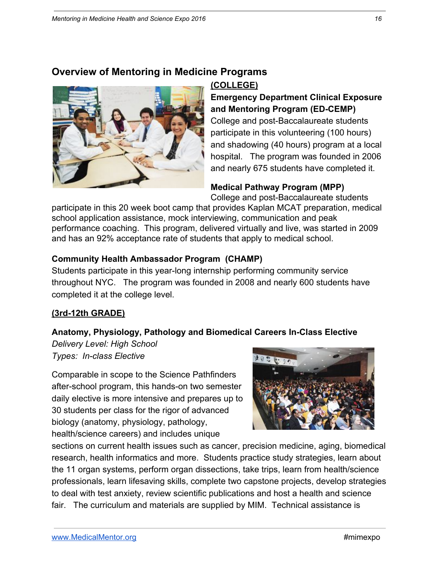### **Overview of Mentoring in Medicine Programs**



#### **(COLLEGE)**

**Emergency Department Clinical Exposure and Mentoring Program (ED-CEMP)** College and post-Baccalaureate students participate in this volunteering (100 hours) and shadowing (40 hours) program at a local

hospital. The program was founded in 2006 and nearly 675 students have completed it.

## **Medical Pathway Program (MPP)**

College and post-Baccalaureate students

participate in this 20 week boot camp that provides Kaplan MCAT preparation, medical school application assistance, mock interviewing, communication and peak performance coaching. This program, delivered virtually and live, was started in 2009 and has an 92% acceptance rate of students that apply to medical school.

#### **Community Health Ambassador Program (CHAMP)**

Students participate in this year-long internship performing community service throughout NYC. The program was founded in 2008 and nearly 600 students have completed it at the college level.

#### **(3rd-12th GRADE)**

#### **Anatomy, Physiology, Pathology and Biomedical Careers In-Class Elective**

*Delivery Level: High School Types: In-class Elective*

Comparable in scope to the Science Pathfinders after-school program, this hands-on two semester daily elective is more intensive and prepares up to 30 students per class for the rigor of advanced biology (anatomy, physiology, pathology, health/science careers) and includes unique



sections on current health issues such as cancer, precision medicine, aging, biomedical research, health informatics and more. Students practice study strategies, learn about the 11 organ systems, perform organ dissections, take trips, learn from health/science professionals, learn lifesaving skills, complete two capstone projects, develop strategies to deal with test anxiety, review scientific publications and host a health and science fair. The curriculum and materials are supplied by MIM. Technical assistance is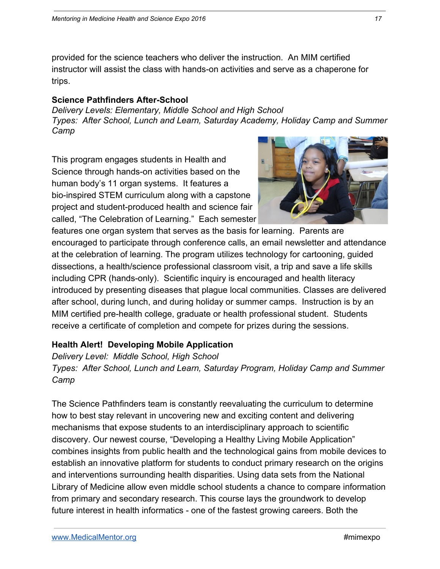provided for the science teachers who deliver the instruction. An MIM certified instructor will assist the class with hands-on activities and serve as a chaperone for trips.

#### **Science Pathfinders After-School**

*Delivery Levels: Elementary, Middle School and High School Types: After School, Lunch and Learn, Saturday Academy, Holiday Camp and Summer Camp*

This program engages students in Health and Science through hands-on activities based on the human body's 11 organ systems. It features a bio-inspired STEM curriculum along with a capstone project and student-produced health and science fair called, "The Celebration of Learning." Each semester



features one organ system that serves as the basis for learning. Parents are encouraged to participate through conference calls, an email newsletter and attendance at the celebration of learning. The program utilizes technology for cartooning, guided dissections, a health/science professional classroom visit, a trip and save a life skills including CPR (hands-only). Scientific inquiry is encouraged and health literacy introduced by presenting diseases that plague local communities. Classes are delivered after school, during lunch, and during holiday or summer camps. Instruction is by an MIM certified pre-health college, graduate or health professional student. Students receive a certificate of completion and compete for prizes during the sessions.

#### **Health Alert! Developing Mobile Application**

*Delivery Level: Middle School, High School Types: After School, Lunch and Learn, Saturday Program, Holiday Camp and Summer Camp*

The Science Pathfinders team is constantly reevaluating the curriculum to determine how to best stay relevant in uncovering new and exciting content and delivering mechanisms that expose students to an interdisciplinary approach to scientific discovery. Our newest course, "Developing a Healthy Living Mobile Application" combines insights from public health and the technological gains from mobile devices to establish an innovative platform for students to conduct primary research on the origins and interventions surrounding health disparities. Using data sets from the National Library of Medicine allow even middle school students a chance to compare information from primary and secondary research. This course lays the groundwork to develop future interest in health informatics - one of the fastest growing careers. Both the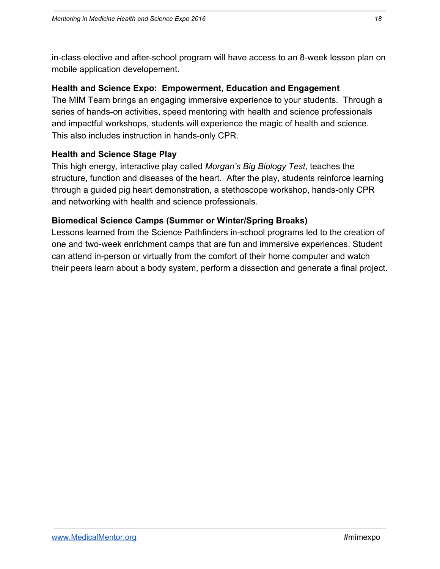in-class elective and after-school program will have access to an 8-week lesson plan on mobile application developement.

#### **Health and Science Expo: Empowerment, Education and Engagement**

The MIM Team brings an engaging immersive experience to your students. Through a series of hands-on activities, speed mentoring with health and science professionals and impactful workshops, students will experience the magic of health and science. This also includes instruction in hands-only CPR.

#### **Health and Science Stage Play**

This high energy, interactive play called *Morgan's Big Biology Test*, teaches the structure, function and diseases of the heart. After the play, students reinforce learning through a guided pig heart demonstration, a stethoscope workshop, hands-only CPR and networking with health and science professionals.

#### **Biomedical Science Camps (Summer or Winter/Spring Breaks)**

Lessons learned from the Science Pathfinders in-school programs led to the creation of one and two-week enrichment camps that are fun and immersive experiences. Student can attend in-person or virtually from the comfort of their home computer and watch their peers learn about a body system, perform a dissection and generate a final project.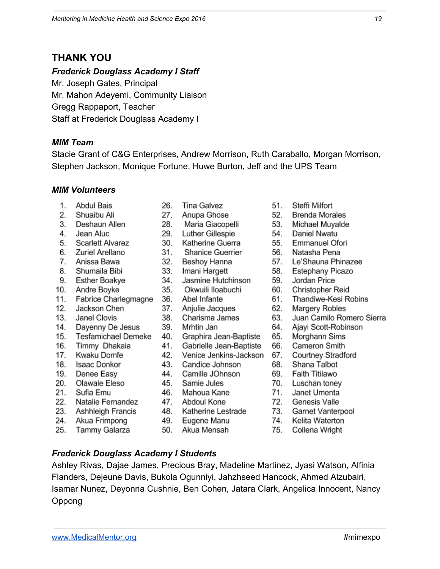## **THANK YOU**

#### *Frederick Douglass Academy I Staff*

Mr. Joseph Gates, Principal Mr. Mahon Adeyemi, Community Liaison Gregg Rappaport, Teacher Staff at Frederick Douglass Academy I

#### *MIM Team*

Stacie Grant of C&G Enterprises, Andrew Morrison, Ruth Caraballo, Morgan Morrison, Stephen Jackson, Monique Fortune, Huwe Burton, Jeff and the UPS Team

#### *MIM Volunteers*

- 1. Abdul Bais
- 2. Shuaibu Ali
- 3. Deshaun Allen
- 4. Jean Aluc
- **Scarlett Alvarez** 5.
- 6. Zuriel Arellano
- 7. Anissa Bawa
- 8. Shumaila Bibi
- 9. **Esther Boakye**
- 10. Andre Boyke
- Fabrice Charlegmagne  $11.$
- Jackson Chen 12.
- 13. Janel Clovis
- 14. Dayenny De Jesus
- **Tesfamichael Demeke** 15.
- Timmy Dhakaia 16.
- $17.$ Kwaku Domfe
- 18. Isaac Donkor
- 19. Denee Easy
- 20. Olawale Eleso
- 21. Sufia Emu
- 22. Natalie Fernandez
- 23. Ashhleigh Francis
- 24. Akua Frimpong
- 25. Tammy Galarza
- 26. **Tina Galvez**
- 27. Anupa Ghose
- 28. Maria Giacopelli
- 29. **Luther Gillespie**
- 30. Katherine Guerra
- 31. Shanice Guerrier
- 32. Beshoy Hanna
- 33.
- 34.
- Okwuili Iloabuchi 35.
- 36. Abel Infante
- 37. Anjulie Jacques
- 38. Charisma James
- 39. Mrhtin Jan
- 40. Graphira Jean-Baptiste
- Gabrielle Jean-Baptiste 41.
- 42. Venice Jenkins-Jackson
- 43. Candice Johnson
- 44. Camille JOhnson
- Samie Jules 45.
- 46. Mahoua Kane
- 47. Abdoul Kone
- 48. Katherine Lestrade
- 49. Eugene Manu
- 50. Akua Mensah
- 51. Steffi Milfort
- 52. **Brenda Morales**
- 53. Michael Muyalde
- Daniel Nwatu 54.
- 55. Emmanuel Ofori
- 56. Natasha Pena
- 
- 57. Le'Shauna Phinazee
- **Estephany Picazo** 58.
- 59. Jordan Price
- Christopher Reid 60.
- 61. Thandiwe-Kesi Robins
- Margery Robles 62.
- 63. Juan Camilo Romero Sierra
- 64. Ajayi Scott-Robinson
- Morghann Sims 65.
- Cameron Smith 66.
- 67. Courtney Stradford
- 68. Shana Talbot
- 69. **Faith Titilawo**
- 70. Luschan toney
- 71. Janet Umenta
- Genesis Valle 72.
- Garnet Vanterpool 73.
- 74. Kelita Waterton
- 75. Collena Wright
- *Frederick Douglass Academy I Students*

Ashley Rivas, Dajae James, Precious Bray, Madeline Martinez, Jyasi Watson, Alfinia Flanders, Dejeune Davis, Bukola Ogunniyi, Jahzhseed Hancock, Ahmed Alzubairi, Isamar Nunez, Deyonna Cushnie, Ben Cohen, Jatara Clark, Angelica Innocent, Nancy Oppong

- Imani Hargett
- Jasmine Hutchinson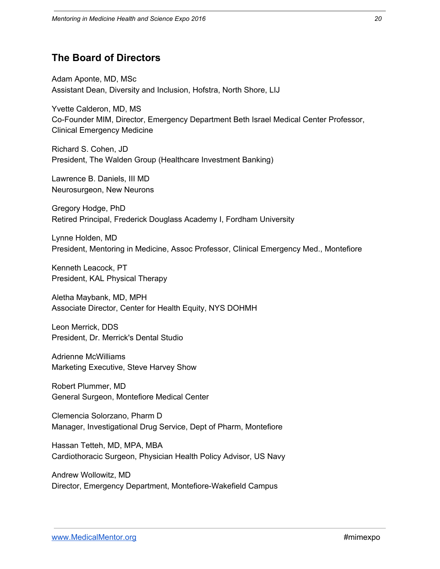## **The Board of Directors**

Adam Aponte, MD, MSc Assistant Dean, Diversity and Inclusion, Hofstra, North Shore, LIJ

Yvette Calderon, MD, MS Co-Founder MIM, Director, Emergency Department Beth Israel Medical Center Professor, Clinical Emergency Medicine

Richard S. Cohen, JD President, The Walden Group (Healthcare Investment Banking)

Lawrence B. Daniels, III MD Neurosurgeon, New Neurons

Gregory Hodge, PhD Retired Principal, Frederick Douglass Academy I, Fordham University

Lynne Holden, MD President, Mentoring in Medicine, Assoc Professor, Clinical Emergency Med., Montefiore

Kenneth Leacock, PT President, KAL Physical Therapy

Aletha Maybank, MD, MPH Associate Director, Center for Health Equity, NYS DOHMH

Leon Merrick, DDS President, Dr. Merrick's Dental Studio

Adrienne McWilliams Marketing Executive, Steve Harvey Show

Robert Plummer, MD General Surgeon, Montefiore Medical Center

Clemencia Solorzano, Pharm D Manager, Investigational Drug Service, Dept of Pharm, Montefiore

Hassan Tetteh, MD, MPA, MBA Cardiothoracic Surgeon, Physician Health Policy Advisor, US Navy

Andrew Wollowitz, MD Director, Emergency Department, Montefiore-Wakefield Campus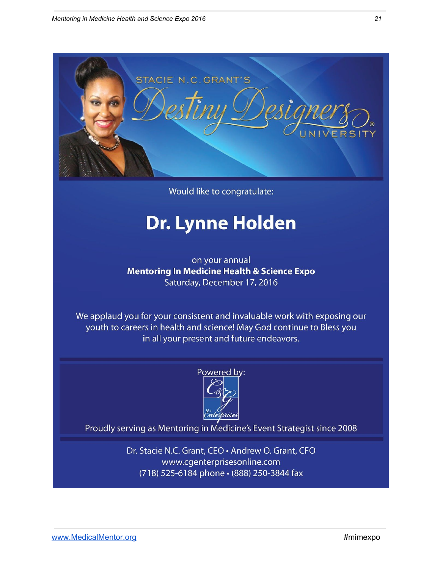

Would like to congratulate:

# Dr. Lynne Holden

on your annual **Mentoring In Medicine Health & Science Expo** Saturday, December 17, 2016

We applaud you for your consistent and invaluable work with exposing our youth to careers in health and science! May God continue to Bless you in all your present and future endeavors.



Proudly serving as Mentoring in Medicine's Event Strategist since 2008

Dr. Stacie N.C. Grant, CEO · Andrew O. Grant, CFO www.cgenterprisesonline.com (718) 525-6184 phone · (888) 250-3844 fax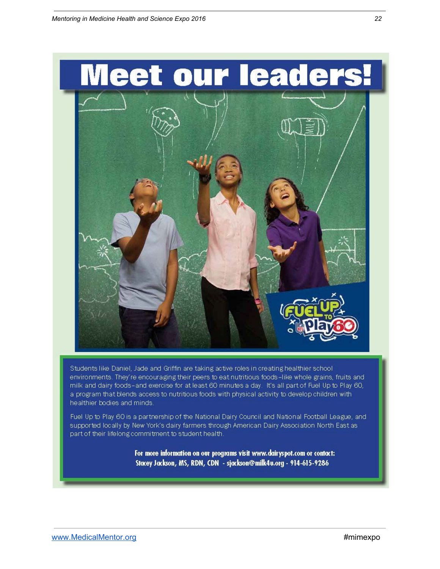

part of their lifelong commitment to student health.

For more information on our programs visit www.dairyspot.com or contact: Stacey Jackson, MS, RDN, CDN - sjackson@milk4u.org - 914-615-9286